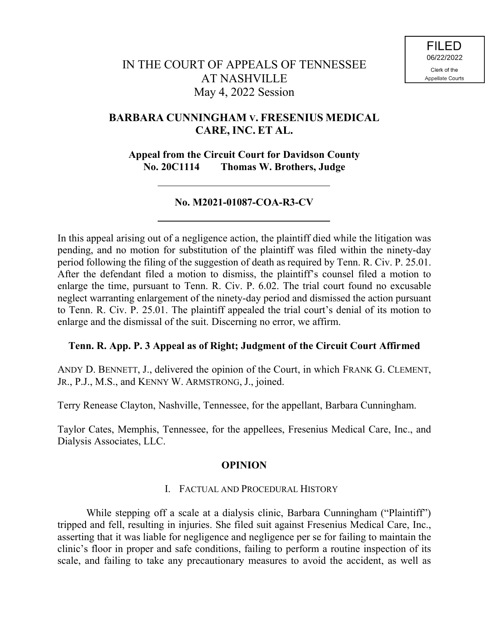# **BARBARA CUNNINGHAM V. FRESENIUS MEDICAL CARE, INC. ET AL.**

**Appeal from the Circuit Court for Davidson County No. 20C1114 Thomas W. Brothers, Judge**

## **No. M2021-01087-COA-R3-CV**

In this appeal arising out of a negligence action, the plaintiff died while the litigation was pending, and no motion for substitution of the plaintiff was filed within the ninety-day period following the filing of the suggestion of death as required by Tenn. R. Civ. P. 25.01. After the defendant filed a motion to dismiss, the plaintiff's counsel filed a motion to enlarge the time, pursuant to Tenn. R. Civ. P. 6.02. The trial court found no excusable neglect warranting enlargement of the ninety-day period and dismissed the action pursuant to Tenn. R. Civ. P. 25.01. The plaintiff appealed the trial court's denial of its motion to enlarge and the dismissal of the suit. Discerning no error, we affirm.

### **Tenn. R. App. P. 3 Appeal as of Right; Judgment of the Circuit Court Affirmed**

ANDY D. BENNETT, J., delivered the opinion of the Court, in which FRANK G. CLEMENT, JR., P.J., M.S., and KENNY W. ARMSTRONG, J., joined.

Terry Renease Clayton, Nashville, Tennessee, for the appellant, Barbara Cunningham.

Taylor Cates, Memphis, Tennessee, for the appellees, Fresenius Medical Care, Inc., and Dialysis Associates, LLC.

### **OPINION**

### I. FACTUAL AND PROCEDURAL HISTORY

While stepping off a scale at a dialysis clinic, Barbara Cunningham ("Plaintiff") tripped and fell, resulting in injuries. She filed suit against Fresenius Medical Care, Inc., asserting that it was liable for negligence and negligence per se for failing to maintain the clinic's floor in proper and safe conditions, failing to perform a routine inspection of its scale, and failing to take any precautionary measures to avoid the accident, as well as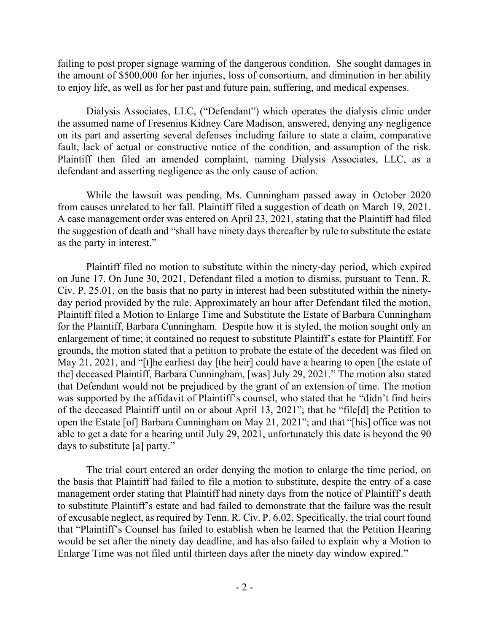failing to post proper signage warning of the dangerous condition. She sought damages in the amount of \$500,000 for her injuries, loss of consortium, and diminution in her ability to enjoy life, as well as for her past and future pain, suffering, and medical expenses.

Dialysis Associates, LLC, ("Defendant") which operates the dialysis clinic under the assumed name of Fresenius Kidney Care Madison, answered, denying any negligence on its part and asserting several defenses including failure to state a claim, comparative fault, lack of actual or constructive notice of the condition, and assumption of the risk. Plaintiff then filed an amended complaint, naming Dialysis Associates, LLC, as a defendant and asserting negligence as the only cause of action.

While the lawsuit was pending, Ms. Cunningham passed away in October 2020 from causes unrelated to her fall. Plaintiff filed a suggestion of death on March 19, 2021. A case management order was entered on April 23, 2021, stating that the Plaintiff had filed the suggestion of death and "shall have ninety days thereafter by rule to substitute the estate as the party in interest."

Plaintiff filed no motion to substitute within the ninety-day period, which expired on June 17. On June 30, 2021, Defendant filed a motion to dismiss, pursuant to Tenn. R. Civ. P. 25.01, on the basis that no party in interest had been substituted within the ninetyday period provided by the rule. Approximately an hour after Defendant filed the motion, Plaintiff filed a Motion to Enlarge Time and Substitute the Estate of Barbara Cunningham for the Plaintiff, Barbara Cunningham. Despite how it is styled, the motion sought only an enlargement of time; it contained no request to substitute Plaintiff's estate for Plaintiff. For grounds, the motion stated that a petition to probate the estate of the decedent was filed on May 21, 2021, and "[t]he earliest day [the heir] could have a hearing to open [the estate of the] deceased Plaintiff, Barbara Cunningham, [was] July 29, 2021." The motion also stated that Defendant would not be prejudiced by the grant of an extension of time. The motion was supported by the affidavit of Plaintiff's counsel, who stated that he "didn't find heirs of the deceased Plaintiff until on or about April 13, 2021"; that he "file[d] the Petition to open the Estate [of] Barbara Cunningham on May 21, 2021"; and that "[his] office was not able to get a date for a hearing until July 29, 2021, unfortunately this date is beyond the 90 days to substitute [a] party."

The trial court entered an order denying the motion to enlarge the time period, on the basis that Plaintiff had failed to file a motion to substitute, despite the entry of a case management order stating that Plaintiff had ninety days from the notice of Plaintiff's death to substitute Plaintiff's estate and had failed to demonstrate that the failure was the result of excusable neglect, as required by Tenn. R. Civ. P. 6.02. Specifically, the trial court found that "Plaintiff's Counsel has failed to establish when he learned that the Petition Hearing would be set after the ninety day deadline, and has also failed to explain why a Motion to Enlarge Time was not filed until thirteen days after the ninety day window expired."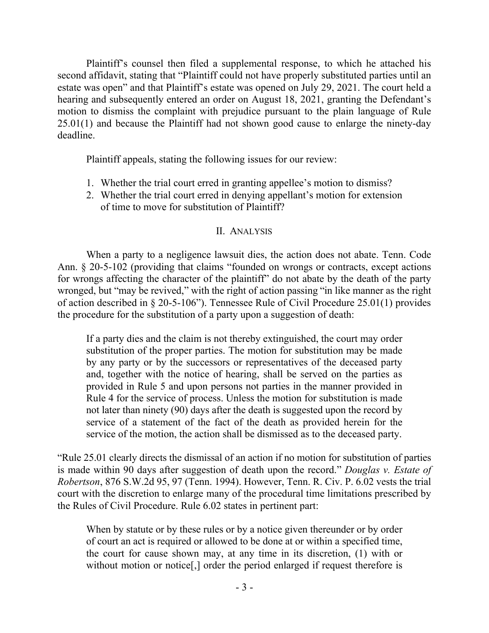Plaintiff's counsel then filed a supplemental response, to which he attached his second affidavit, stating that "Plaintiff could not have properly substituted parties until an estate was open" and that Plaintiff's estate was opened on July 29, 2021. The court held a hearing and subsequently entered an order on August 18, 2021, granting the Defendant's motion to dismiss the complaint with prejudice pursuant to the plain language of Rule 25.01(1) and because the Plaintiff had not shown good cause to enlarge the ninety-day deadline.

Plaintiff appeals, stating the following issues for our review:

- 1. Whether the trial court erred in granting appellee's motion to dismiss?
- 2. Whether the trial court erred in denying appellant's motion for extension of time to move for substitution of Plaintiff?

### II. ANALYSIS

When a party to a negligence lawsuit dies, the action does not abate. Tenn. Code Ann. § 20-5-102 (providing that claims "founded on wrongs or contracts, except actions for wrongs affecting the character of the plaintiff" do not abate by the death of the party wronged, but "may be revived," with the right of action passing "in like manner as the right of action described in § 20-5-106"). Tennessee Rule of Civil Procedure 25.01(1) provides the procedure for the substitution of a party upon a suggestion of death:

If a party dies and the claim is not thereby extinguished, the court may order substitution of the proper parties. The motion for substitution may be made by any party or by the successors or representatives of the deceased party and, together with the notice of hearing, shall be served on the parties as provided in Rule 5 and upon persons not parties in the manner provided in Rule 4 for the service of process. Unless the motion for substitution is made not later than ninety (90) days after the death is suggested upon the record by service of a statement of the fact of the death as provided herein for the service of the motion, the action shall be dismissed as to the deceased party.

"Rule 25.01 clearly directs the dismissal of an action if no motion for substitution of parties is made within 90 days after suggestion of death upon the record." *Douglas v. Estate of Robertson*, 876 S.W.2d 95, 97 (Tenn. 1994). However, Tenn. R. Civ. P. 6.02 vests the trial court with the discretion to enlarge many of the procedural time limitations prescribed by the Rules of Civil Procedure. Rule 6.02 states in pertinent part:

When by statute or by these rules or by a notice given thereunder or by order of court an act is required or allowed to be done at or within a specified time, the court for cause shown may, at any time in its discretion, (1) with or without motion or notice<sup>[1]</sup>, order the period enlarged if request therefore is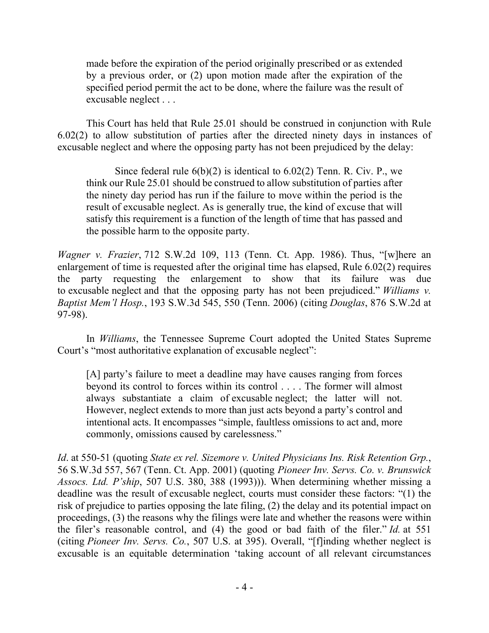made before the expiration of the period originally prescribed or as extended by a previous order, or (2) upon motion made after the expiration of the specified period permit the act to be done, where the failure was the result of excusable neglect . . .

This Court has held that Rule 25.01 should be construed in conjunction with Rule 6.02(2) to allow substitution of parties after the directed ninety days in instances of excusable neglect and where the opposing party has not been prejudiced by the delay:

Since federal rule  $6(b)(2)$  is identical to  $6.02(2)$  Tenn. R. Civ. P., we think our Rule 25.01 should be construed to allow substitution of parties after the ninety day period has run if the failure to move within the period is the result of excusable neglect. As is generally true, the kind of excuse that will satisfy this requirement is a function of the length of time that has passed and the possible harm to the opposite party.

*Wagner v. Frazier*, 712 S.W.2d 109, 113 (Tenn. Ct. App. 1986). Thus, "[w]here an enlargement of time is requested after the original time has elapsed, Rule 6.02(2) requires the party requesting the enlargement to show that its failure was due to excusable neglect and that the opposing party has not been prejudiced." *Williams v. Baptist Mem'l Hosp.*, 193 S.W.3d 545, 550 (Tenn. 2006) (citing *Douglas*, 876 S.W.2d at 97-98).

In *Williams*, the Tennessee Supreme Court adopted the United States Supreme Court's "most authoritative explanation of excusable neglect":

[A] party's failure to meet a deadline may have causes ranging from forces beyond its control to forces within its control . . . . The former will almost always substantiate a claim of excusable neglect; the latter will not. However, neglect extends to more than just acts beyond a party's control and intentional acts. It encompasses "simple, faultless omissions to act and, more commonly, omissions caused by carelessness."

*Id*. at 550-51 (quoting *State ex rel. Sizemore v. United Physicians Ins. Risk Retention Grp.*, 56 S.W.3d 557, 567 (Tenn. Ct. App. 2001) (quoting *Pioneer Inv. Servs. Co. v. Brunswick Assocs. Ltd. P'ship*, 507 U.S. 380, 388 (1993))). When determining whether missing a deadline was the result of excusable neglect, courts must consider these factors: "(1) the risk of prejudice to parties opposing the late filing, (2) the delay and its potential impact on proceedings, (3) the reasons why the filings were late and whether the reasons were within the filer's reasonable control, and (4) the good or bad faith of the filer." *Id.* at 551 (citing *Pioneer Inv. Servs. Co.*, 507 U.S. at 395). Overall, "[f]inding whether neglect is excusable is an equitable determination 'taking account of all relevant circumstances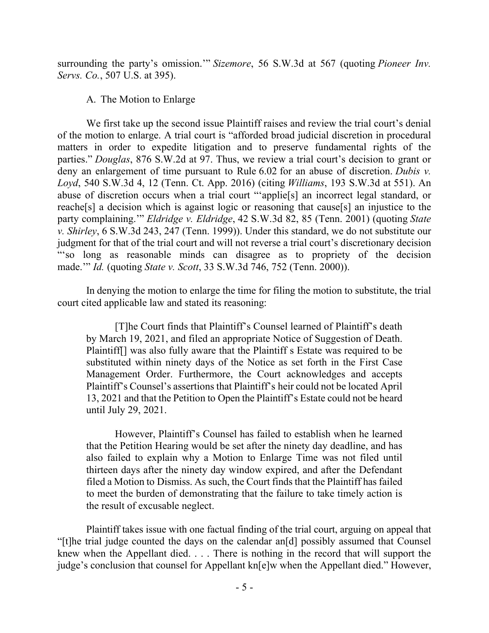surrounding the party's omission.'" *Sizemore*, 56 S.W.3d at 567 (quoting *Pioneer Inv. Servs. Co.*, 507 U.S. at 395).

#### A. The Motion to Enlarge

We first take up the second issue Plaintiff raises and review the trial court's denial of the motion to enlarge. A trial court is "afforded broad judicial discretion in procedural matters in order to expedite litigation and to preserve fundamental rights of the parties." *Douglas*, 876 S.W.2d at 97. Thus, we review a trial court's decision to grant or deny an enlargement of time pursuant to Rule 6.02 for an abuse of discretion. *Dubis v. Loyd*, 540 S.W.3d 4, 12 (Tenn. Ct. App. 2016) (citing *Williams*, 193 S.W.3d at 551). An abuse of discretion occurs when a trial court "'applie[s] an incorrect legal standard, or reache[s] a decision which is against logic or reasoning that cause[s] an injustice to the party complaining.'" *Eldridge v. Eldridge*, 42 S.W.3d 82, 85 (Tenn. 2001) (quoting *State v. Shirley*, 6 S.W.3d 243, 247 (Tenn. 1999)). Under this standard, we do not substitute our judgment for that of the trial court and will not reverse a trial court's discretionary decision "'so long as reasonable minds can disagree as to propriety of the decision made.'" *Id.* (quoting *State v. Scott*, 33 S.W.3d 746, 752 (Tenn. 2000)).

In denying the motion to enlarge the time for filing the motion to substitute, the trial court cited applicable law and stated its reasoning:

[T]he Court finds that Plaintiff's Counsel learned of Plaintiff's death by March 19, 2021, and filed an appropriate Notice of Suggestion of Death. Plaintiff[] was also fully aware that the Plaintiff s Estate was required to be substituted within ninety days of the Notice as set forth in the First Case Management Order. Furthermore, the Court acknowledges and accepts Plaintiff's Counsel's assertions that Plaintiff's heir could not be located April 13, 2021 and that the Petition to Open the Plaintiff's Estate could not be heard until July 29, 2021.

However, Plaintiff's Counsel has failed to establish when he learned that the Petition Hearing would be set after the ninety day deadline, and has also failed to explain why a Motion to Enlarge Time was not filed until thirteen days after the ninety day window expired, and after the Defendant filed a Motion to Dismiss. As such, the Court finds that the Plaintiff has failed to meet the burden of demonstrating that the failure to take timely action is the result of excusable neglect.

Plaintiff takes issue with one factual finding of the trial court, arguing on appeal that "[t]he trial judge counted the days on the calendar an[d] possibly assumed that Counsel knew when the Appellant died. . . . There is nothing in the record that will support the judge's conclusion that counsel for Appellant kn[e]w when the Appellant died." However,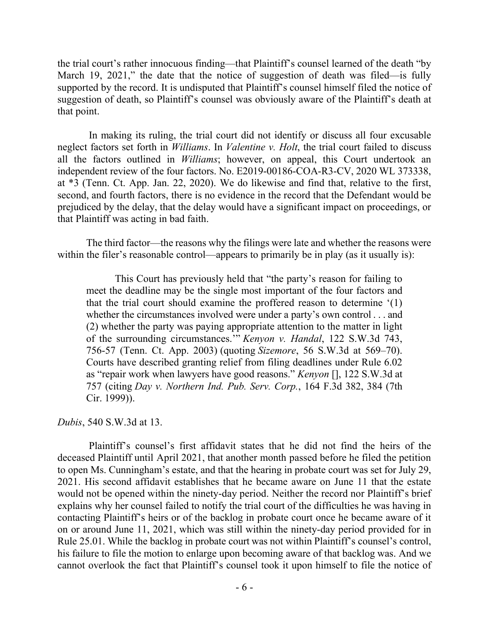the trial court's rather innocuous finding—that Plaintiff's counsel learned of the death "by March 19, 2021," the date that the notice of suggestion of death was filed—is fully supported by the record. It is undisputed that Plaintiff's counsel himself filed the notice of suggestion of death, so Plaintiff's counsel was obviously aware of the Plaintiff's death at that point.

In making its ruling, the trial court did not identify or discuss all four excusable neglect factors set forth in *Williams*. In *Valentine v. Holt*, the trial court failed to discuss all the factors outlined in *Williams*; however, on appeal, this Court undertook an independent review of the four factors. No. E2019-00186-COA-R3-CV, 2020 WL 373338, at \*3 (Tenn. Ct. App. Jan. 22, 2020). We do likewise and find that, relative to the first, second, and fourth factors, there is no evidence in the record that the Defendant would be prejudiced by the delay, that the delay would have a significant impact on proceedings, or that Plaintiff was acting in bad faith.

The third factor—the reasons why the filings were late and whether the reasons were within the filer's reasonable control—appears to primarily be in play (as it usually is):

This Court has previously held that "the party's reason for failing to meet the deadline may be the single most important of the four factors and that the trial court should examine the proffered reason to determine '(1) whether the circumstances involved were under a party's own control . . . and (2) whether the party was paying appropriate attention to the matter in light of the surrounding circumstances.'" *Kenyon v. Handal*, 122 S.W.3d 743, 756-57 (Tenn. Ct. App. 2003) (quoting *Sizemore*, 56 S.W.3d at 569–70). Courts have described granting relief from filing deadlines under Rule 6.02 as "repair work when lawyers have good reasons." *Kenyon* [], 122 S.W.3d at 757 (citing *Day v. Northern Ind. Pub. Serv. Corp.*, 164 F.3d 382, 384 (7th Cir. 1999)).

*Dubis*, 540 S.W.3d at 13.

Plaintiff's counsel's first affidavit states that he did not find the heirs of the deceased Plaintiff until April 2021, that another month passed before he filed the petition to open Ms. Cunningham's estate, and that the hearing in probate court was set for July 29, 2021. His second affidavit establishes that he became aware on June 11 that the estate would not be opened within the ninety-day period. Neither the record nor Plaintiff's brief explains why her counsel failed to notify the trial court of the difficulties he was having in contacting Plaintiff's heirs or of the backlog in probate court once he became aware of it on or around June 11, 2021, which was still within the ninety-day period provided for in Rule 25.01. While the backlog in probate court was not within Plaintiff's counsel's control, his failure to file the motion to enlarge upon becoming aware of that backlog was. And we cannot overlook the fact that Plaintiff's counsel took it upon himself to file the notice of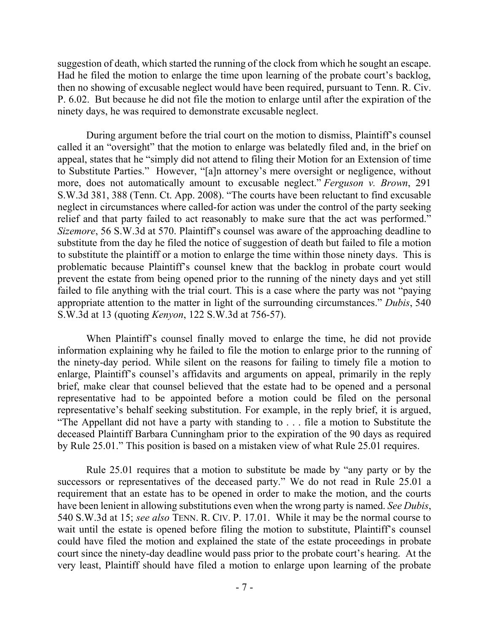suggestion of death, which started the running of the clock from which he sought an escape. Had he filed the motion to enlarge the time upon learning of the probate court's backlog, then no showing of excusable neglect would have been required, pursuant to Tenn. R. Civ. P. 6.02. But because he did not file the motion to enlarge until after the expiration of the ninety days, he was required to demonstrate excusable neglect.

During argument before the trial court on the motion to dismiss, Plaintiff's counsel called it an "oversight" that the motion to enlarge was belatedly filed and, in the brief on appeal, states that he "simply did not attend to filing their Motion for an Extension of time to Substitute Parties." However, "[a]n attorney's mere oversight or negligence, without more, does not automatically amount to excusable neglect." *Ferguson v. Brown*, 291 S.W.3d 381, 388 (Tenn. Ct. App. 2008). "The courts have been reluctant to find excusable neglect in circumstances where called-for action was under the control of the party seeking relief and that party failed to act reasonably to make sure that the act was performed." *Sizemore*, 56 S.W.3d at 570. Plaintiff's counsel was aware of the approaching deadline to substitute from the day he filed the notice of suggestion of death but failed to file a motion to substitute the plaintiff or a motion to enlarge the time within those ninety days. This is problematic because Plaintiff's counsel knew that the backlog in probate court would prevent the estate from being opened prior to the running of the ninety days and yet still failed to file anything with the trial court. This is a case where the party was not "paying appropriate attention to the matter in light of the surrounding circumstances." *Dubis*, 540 S.W.3d at 13 (quoting *Kenyon*, 122 S.W.3d at 756-57).

When Plaintiff's counsel finally moved to enlarge the time, he did not provide information explaining why he failed to file the motion to enlarge prior to the running of the ninety-day period. While silent on the reasons for failing to timely file a motion to enlarge, Plaintiff's counsel's affidavits and arguments on appeal, primarily in the reply brief, make clear that counsel believed that the estate had to be opened and a personal representative had to be appointed before a motion could be filed on the personal representative's behalf seeking substitution. For example, in the reply brief, it is argued, "The Appellant did not have a party with standing to . . . file a motion to Substitute the deceased Plaintiff Barbara Cunningham prior to the expiration of the 90 days as required by Rule 25.01." This position is based on a mistaken view of what Rule 25.01 requires.

Rule 25.01 requires that a motion to substitute be made by "any party or by the successors or representatives of the deceased party." We do not read in Rule 25.01 a requirement that an estate has to be opened in order to make the motion, and the courts have been lenient in allowing substitutions even when the wrong party is named. *See Dubis*, 540 S.W.3d at 15; *see also* TENN. R. CIV. P. 17.01. While it may be the normal course to wait until the estate is opened before filing the motion to substitute, Plaintiff's counsel could have filed the motion and explained the state of the estate proceedings in probate court since the ninety-day deadline would pass prior to the probate court's hearing. At the very least, Plaintiff should have filed a motion to enlarge upon learning of the probate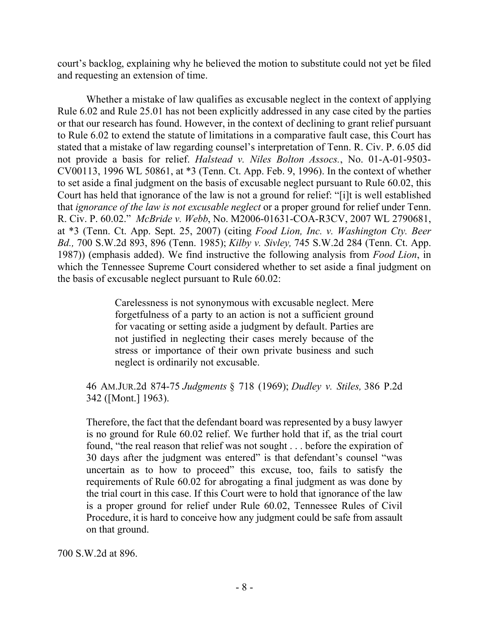court's backlog, explaining why he believed the motion to substitute could not yet be filed and requesting an extension of time.

Whether a mistake of law qualifies as excusable neglect in the context of applying Rule 6.02 and Rule 25.01 has not been explicitly addressed in any case cited by the parties or that our research has found. However, in the context of declining to grant relief pursuant to Rule 6.02 to extend the statute of limitations in a comparative fault case, this Court has stated that a mistake of law regarding counsel's interpretation of Tenn. R. Civ. P. 6.05 did not provide a basis for relief. *Halstead v. Niles Bolton Assocs.*, No. 01-A-01-9503- CV00113, 1996 WL 50861, at \*3 (Tenn. Ct. App. Feb. 9, 1996). In the context of whether to set aside a final judgment on the basis of excusable neglect pursuant to Rule 60.02, this Court has held that ignorance of the law is not a ground for relief: "[i]t is well established that *ignorance of the law is not excusable neglect* or a proper ground for relief under Tenn. R. Civ. P. 60.02." *McBride v. Webb*, No. M2006-01631-COA-R3CV, 2007 WL 2790681, at \*3 (Tenn. Ct. App. Sept. 25, 2007) (citing *Food Lion, Inc. v. Washington Cty. Beer Bd.,* 700 S.W.2d 893, 896 (Tenn. 1985); *Kilby v. Sivley,* 745 S.W.2d 284 (Tenn. Ct. App. 1987)) (emphasis added). We find instructive the following analysis from *Food Lion*, in which the Tennessee Supreme Court considered whether to set aside a final judgment on the basis of excusable neglect pursuant to Rule 60.02:

> Carelessness is not synonymous with excusable neglect. Mere forgetfulness of a party to an action is not a sufficient ground for vacating or setting aside a judgment by default. Parties are not justified in neglecting their cases merely because of the stress or importance of their own private business and such neglect is ordinarily not excusable.

### 46 AM.JUR.2d 874-75 *Judgments* § 718 (1969); *Dudley v. Stiles,* 386 P.2d 342 ([Mont.] 1963).

Therefore, the fact that the defendant board was represented by a busy lawyer is no ground for Rule 60.02 relief. We further hold that if, as the trial court found, "the real reason that relief was not sought . . . before the expiration of 30 days after the judgment was entered" is that defendant's counsel "was uncertain as to how to proceed" this excuse, too, fails to satisfy the requirements of Rule 60.02 for abrogating a final judgment as was done by the trial court in this case. If this Court were to hold that ignorance of the law is a proper ground for relief under Rule 60.02, Tennessee Rules of Civil Procedure, it is hard to conceive how any judgment could be safe from assault on that ground.

700 S.W.2d at 896.